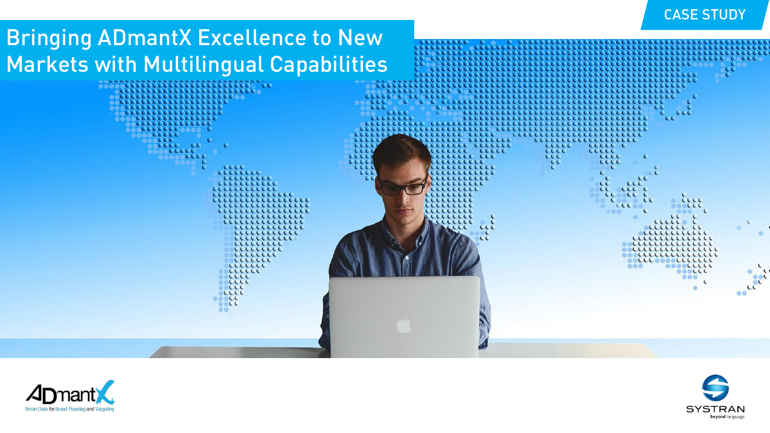## CASE STUDY

# Bringing ADmantX Excellence to New Markets with Multilingual Capabilities





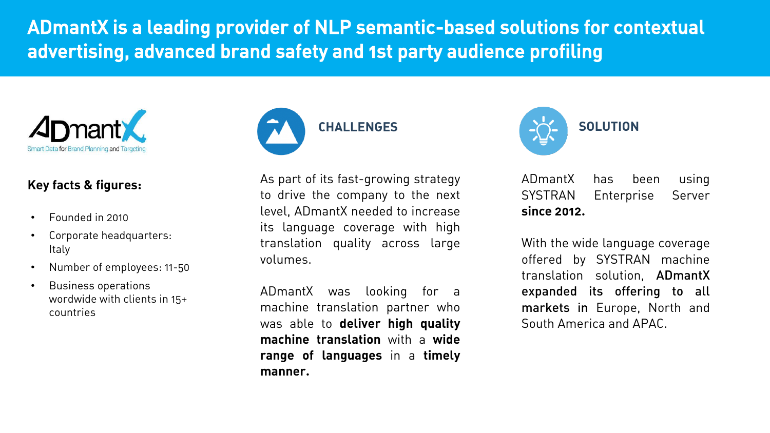ADmantX is a leading provider of NLP semantic-based solutions for contextual advertising, advanced brand safety and 1st party audience profiling



## **Key facts & figures:**

- Founded in 2010
- Corporate headquarters: Italy
- Number of employees: 11-50
- Business operations wordwide with clients in 15+ countries



As part of its fast-growing strategy to drive the company to the next level, ADmantX needed to increase its language coverage with high translation quality across large volumes.

ADmantX was looking for a machine translation partner who was able to **deliver high quality machine translation** with a **wide range of languages** in a **timely manner.**



ADmantX has been using SYSTRAN Enterprise Server **since 2012.**

With the wide language coverage offered by SYSTRAN machine translation solution, ADmantX expanded its offering to all markets in Europe, North and South America and APAC.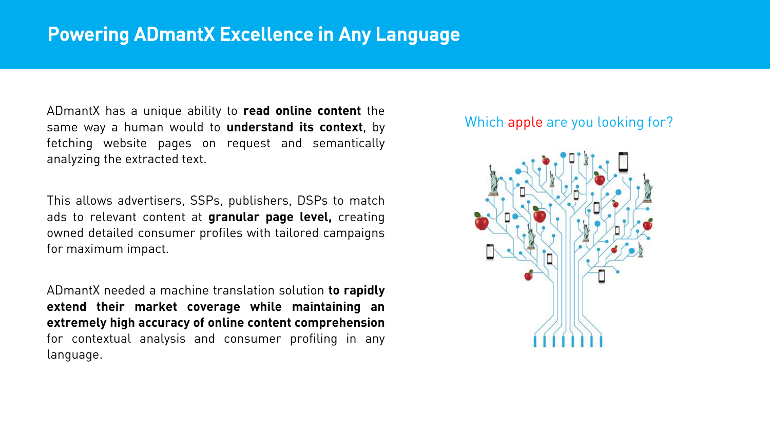ADmantX has a unique ability to **read online content** the same way a human would to **understand its context**, by fetching website pages on request and semantically analyzing the extracted text.

This allows advertisers, SSPs, publishers, DSPs to match ads to relevant content at **granular page level,** creating owned detailed consumer profiles with tailored campaigns for maximum impact.

ADmantX needed a machine translation solution **to rapidly extend their market coverage while maintaining an extremely high accuracy of online content comprehension** for contextual analysis and consumer profiling in any language.

## Which apple are you looking for?

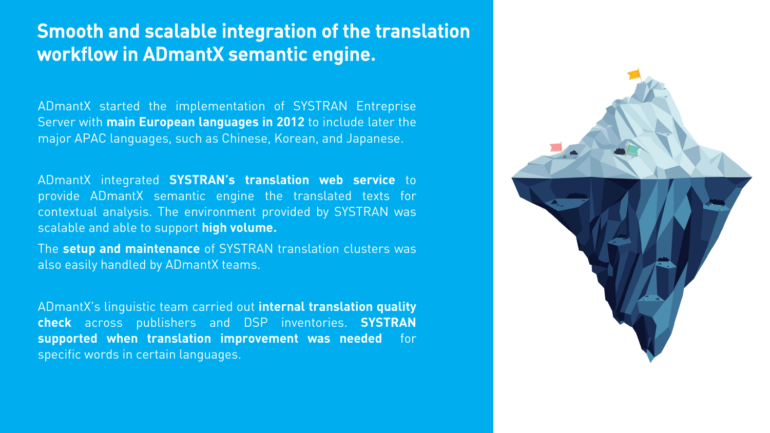## Smooth and scalable integration of the translation workflow in ADmantX semantic engine.

ADmantX started the implementation of SYSTRAN Entreprise Server with **main European languages in 2012** to include later the major APAC languages, such as Chinese, Korean, and Japanese.

ADmantX integrated **SYSTRAN's translation web service** to provide ADmantX semantic engine the translated texts for contextual analysis. The environment provided by SYSTRAN was scalable and able to support **high volume.**

The **setup and maintenance** of SYSTRAN translation clusters was also easily handled by ADmantX teams.

ADmantX's linguistic team carried out **internal translation quality check** across publishers and DSP inventories. **SYSTRAN supported when translation improvement was needed** for specific words in certain languages.

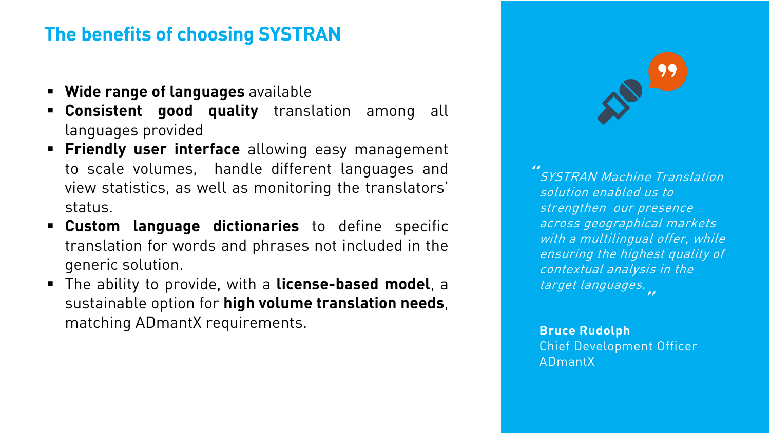### **File Defierts of Choosing St St RAN** The benefits of choosing SYSTRAN

- **Wide range of languages** available
- **Consistent good quality** translation among all languages provided
- **Friendly user interface** allowing easy management to scale volumes, handle different languages and view statistics, as well as monitoring the translators' status.
- **Custom language dictionaries** to define specific translation for words and phrases not included in the generic solution.
- The ability to provide, with a **license-based model**, a sustainable option for **high volume translation needs**, matching ADmantX requirements.



SYSTRAN Machine Translation solution enabled us to strengthen our presence across geographical markets with a multilingual offer, while ensuring the highest quality of contextual analysis in the target languages. ""

**Bruce Rudolph** Chief Development Officer ADmantX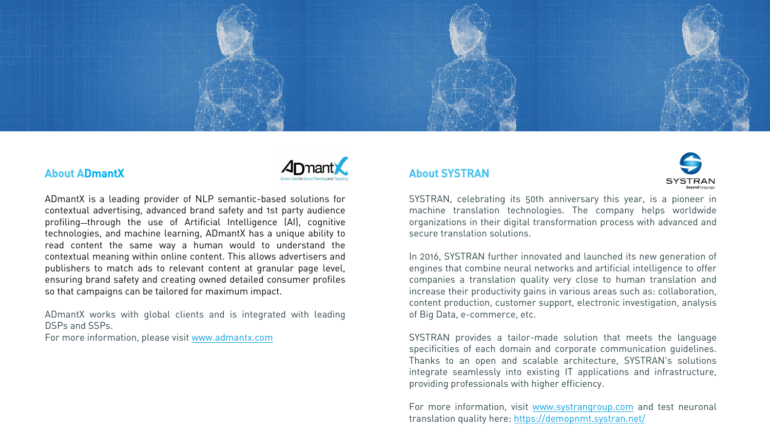

#### About ADmantX



ADmantX is a leading provider of NLP semantic-based solutions for contextual advertising, advanced brand safety and 1st party audience profiling-through the use of Artificial Intelligence (AI), cognitive technologies, and machine learning, ADmantX has a unique ability to read content the same way a human would to understand the contextual meaning within online content. This allows advertisers and publishers to match ads to relevant content at granular page level, ensuring brand safety and creating owned detailed consumer profiles so that campaigns can be tailored for maximum impact.

ADmantX works with global clients and is integrated with leading DSPs and SSPs.

For more information, please visit [www.admantx.com](http://www.admantx.com/)

#### About SYSTRAN



SYSTRAN, celebrating its 50th anniversary this year, is a pioneer in machine translation technologies. The company helps worldwide organizations in their digital transformation process with advanced and secure translation solutions.

In 2016, SYSTRAN further innovated and launched its new generation of engines that combine neural networks and artificial intelligence to offer companies a translation quality very close to human translation and increase their productivity gains in various areas such as: collaboration, content production, customer support, electronic investigation, analysis of Big Data, e-commerce, etc.

SYSTRAN provides a tailor-made solution that meets the language specificities of each domain and corporate communication guidelines. Thanks to an open and scalable architecture, SYSTRAN's solutions integrate seamlessly into existing IT applications and infrastructure, providing professionals with higher efficiency.

For more information, visit [www.systrangroup.com](http://www.systrangroup.com/) and test neuronal translation quality here: <https://demopnmt.systran.net/>